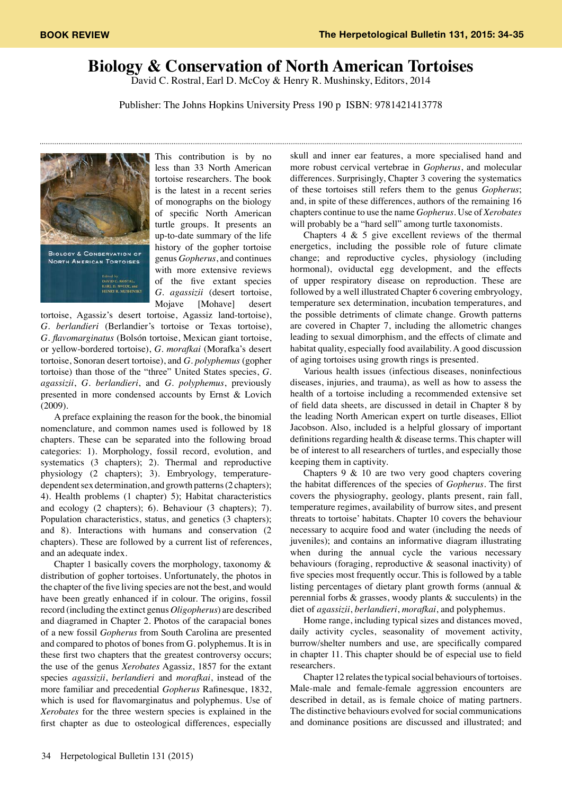## **Biology & Conservation of North American Tortoises**

David C. Rostral, Earl D. McCoy & Henry R. Mushinsky, Editors, 2014

Publisher: The Johns Hopkins University Press 190 p ISBN: 9781421413778



This contribution is by no less than 33 North American tortoise researchers. The book is the latest in a recent series of monographs on the biology of specific North American turtle groups. It presents an up-to-date summary of the life history of the gopher tortoise genus *Gopherus*, and continues with more extensive reviews of the five extant species *G. agassizii* (desert tortoise, Mojave [Mohave] desert

tortoise, Agassiz's desert tortoise, Agassiz land-tortoise), *G. berlandieri* (Berlandier's tortoise or Texas tortoise), *G. flavomarginatus* (Bolsón tortoise, Mexican giant tortoise, or yellow-bordered tortoise), *G. morafkai* (Morafka's desert tortoise, Sonoran desert tortoise), and *G. polyphemus* (gopher tortoise) than those of the "three" United States species, *G. agassizii*, *G. berlandieri*, and *G. polyphemus*, previously presented in more condensed accounts by Ernst & Lovich (2009).

A preface explaining the reason for the book, the binomial nomenclature, and common names used is followed by 18 chapters. These can be separated into the following broad categories: 1). Morphology, fossil record, evolution, and systematics (3 chapters); 2). Thermal and reproductive physiology (2 chapters); 3). Embryology, temperaturedependent sex determination, and growth patterns (2 chapters); 4). Health problems (1 chapter) 5); Habitat characteristics and ecology (2 chapters); 6). Behaviour (3 chapters); 7). Population characteristics, status, and genetics (3 chapters); and 8). Interactions with humans and conservation (2 chapters). These are followed by a current list of references, and an adequate index.

Chapter 1 basically covers the morphology, taxonomy & distribution of gopher tortoises. Unfortunately, the photos in the chapter of the five living species are not the best, and would have been greatly enhanced if in colour. The origins, fossil record (including the extinct genus *Oligopherus*) are described and diagramed in Chapter 2. Photos of the carapacial bones of a new fossil *Gopherus* from South Carolina are presented and compared to photos of bones from G. polyphemus. It is in these first two chapters that the greatest controversy occurs; the use of the genus *Xerobates* Agassiz, 1857 for the extant species *agassizii*, *berlandieri* and *morafkai*, instead of the more familiar and precedential *Gopherus* Rafinesque, 1832, which is used for flavomarginatus and polyphemus. Use of *Xerobates* for the three western species is explained in the first chapter as due to osteological differences, especially

skull and inner ear features, a more specialised hand and more robust cervical vertebrae in *Gopherus*, and molecular differences. Surprisingly, Chapter 3 covering the systematics of these tortoises still refers them to the genus *Gopherus*; and, in spite of these differences, authors of the remaining 16 chapters continue to use the name *Gopherus*. Use of *Xerobates* will probably be a "hard sell" among turtle taxonomists.

Chapters 4 & 5 give excellent reviews of the thermal energetics, including the possible role of future climate change; and reproductive cycles, physiology (including hormonal), oviductal egg development, and the effects of upper respiratory disease on reproduction. These are followed by a well illustrated Chapter 6 covering embryology, temperature sex determination, incubation temperatures, and the possible detriments of climate change. Growth patterns are covered in Chapter 7, including the allometric changes leading to sexual dimorphism, and the effects of climate and habitat quality, especially food availability. A good discussion of aging tortoises using growth rings is presented.

Various health issues (infectious diseases, noninfectious diseases, injuries, and trauma), as well as how to assess the health of a tortoise including a recommended extensive set of field data sheets, are discussed in detail in Chapter 8 by the leading North American expert on turtle diseases, Elliot Jacobson. Also, included is a helpful glossary of important definitions regarding health & disease terms. This chapter will be of interest to all researchers of turtles, and especially those keeping them in captivity.

Chapters 9 & 10 are two very good chapters covering the habitat differences of the species of *Gopherus*. The first covers the physiography, geology, plants present, rain fall, temperature regimes, availability of burrow sites, and present threats to tortoise' habitats. Chapter 10 covers the behaviour necessary to acquire food and water (including the needs of juveniles); and contains an informative diagram illustrating when during the annual cycle the various necessary behaviours (foraging, reproductive & seasonal inactivity) of five species most frequently occur. This is followed by a table listing percentages of dietary plant growth forms (annual & perennial forbs  $\&$  grasses, woody plants  $\&$  succulents) in the diet of *agassizii*, *berlandieri*, *morafkai*, and polyphemus.

Home range, including typical sizes and distances moved, daily activity cycles, seasonality of movement activity, burrow/shelter numbers and use, are specifically compared in chapter 11. This chapter should be of especial use to field researchers.

Chapter 12 relates the typical social behaviours of tortoises. Male-male and female-female aggression encounters are described in detail, as is female choice of mating partners. The distinctive behaviours evolved for social communications and dominance positions are discussed and illustrated; and